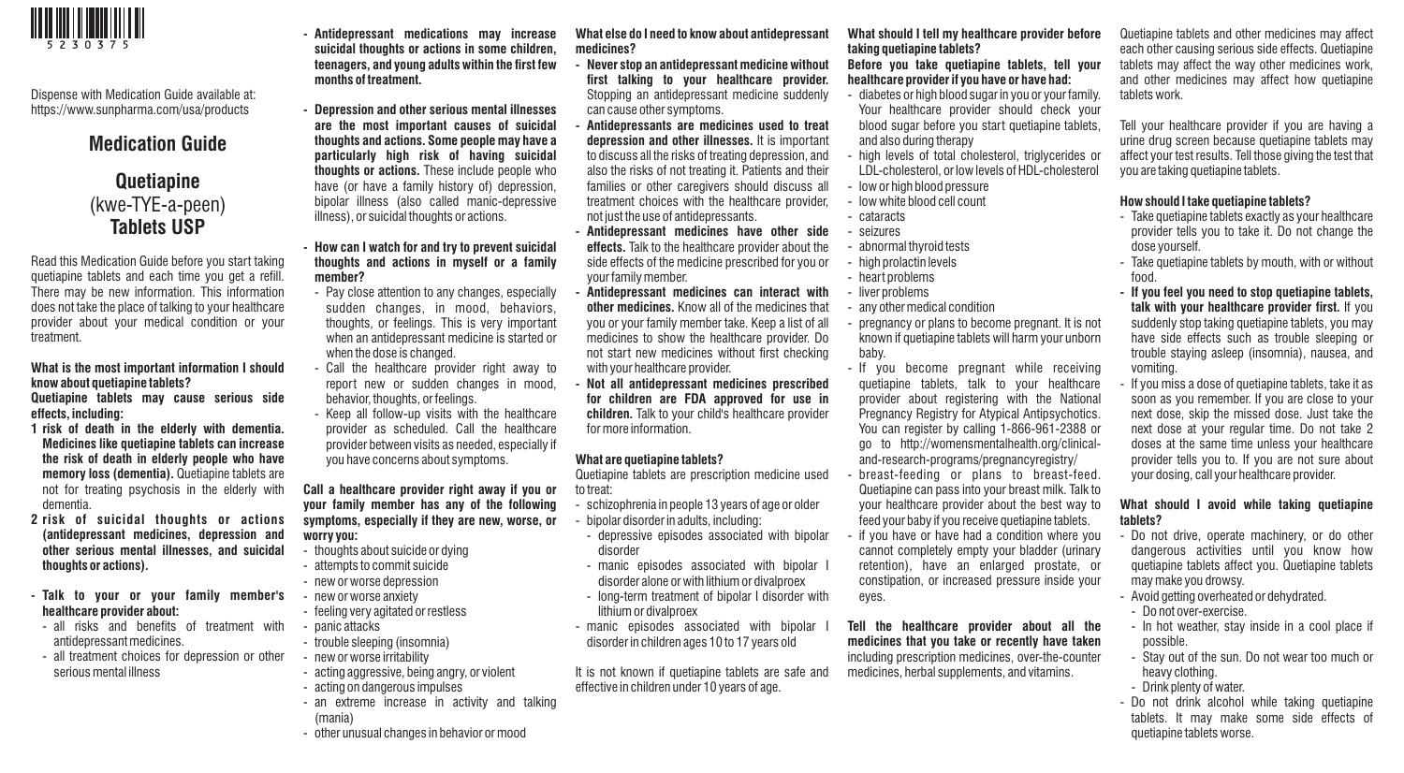

Dispense with Medication Guide available at: https://www.sunpharma.com/usa/products

## **Medication Guide**

# **Quetiapine**  (kwe-TYE-a-peen) **Tablets USP**

Read this Medication Guide before you start taking quetiapine tablets and each time you get a refill. There may be new information. This information does not take the place of talking to your healthcare provider about your medical condition or your treatment.

#### **What is the most important information I should know about quetiapine tablets? Quetiapine tablets may cause serious side**

**effects, including:** 

- **1 risk of death in the elderly with dementia. Medicines like quetiapine tablets can increase the risk of death in elderly people who have memory loss (dementia).** Quetiapine tablets are not for treating psychosis in the elderly with dementia.
- **2 risk of suicidal thoughts or actions (antidepressant medicines, depression and other serious mental illnesses, and suicidal thoughts or actions).**
- **Talk to your or your family member's healthcare provider about:**
- all risks and benefits of treatment with antidepressant medicines.
- all treatment choices for depression or other serious mental illness
- **Antidepressant medications may increase suicidal thoughts or actions in some children, teenagers, and young adults within the first few months of treatment.**
- **Depression and other serious mental illnesses are the most important causes of suicidal thoughts and actions. Some people may have a particularly high risk of having suicidal thoughts or actions.** These include people who have (or have a family history of) depression, bipolar illness (also called manic-depressive illness), or suicidal thoughts or actions.
- **How can I watch for and try to prevent suicidal thoughts and actions in myself or a family member?**
- Pay close attention to any changes, especially sudden changes, in mood, behaviors, thoughts, or feelings. This is very important when an antidepressant medicine is started or when the dose is changed.
- Call the healthcare provider right away to report new or sudden changes in mood, behavior, thoughts, or feelings.
- Keep all follow-up visits with the healthcare provider as scheduled. Call the healthcare provider between visits as needed, especially if you have concerns about symptoms.

**Call a healthcare provider right away if you or your family member has any of the following symptoms, especially if they are new, worse, or worry you:** 

- thoughts about suicide or dying
- attempts to commit suicide
- new or worse depression
- new or worse anxiety - feeling very agitated or restless
- panic attacks
- trouble sleeping (insomnia)
- new or worse irritability
- acting aggressive, being angry, or violent
- acting on dangerous impulses
- an extreme increase in activity and talking (mania)
- other unusual changes in behavior or mood

**What else do I need to know about antidepressant medicines?** 

- **Never stop an antidepressant medicine without first talking to your healthcare provider.**  Stopping an antidepressant medicine suddenly can cause other symptoms.
- **Antidepressants are medicines used to treat depression and other illnesses.** It is important to discuss all the risks of treating depression, and also the risks of not treating it. Patients and their families or other caregivers should discuss all treatment choices with the healthcare provider, not just the use of antidepressants.
- **Antidepressant medicines have other side effects.** Talk to the healthcare provider about the side effects of the medicine prescribed for you or your family member.
- **Antidepressant medicines can interact with other medicines.** Know all of the medicines that you or your family member take. Keep a list of all medicines to show the healthcare provider. Do not start new medicines without first checking with your healthcare provider.
- **Not all antidepressant medicines prescribed for children are FDA approved for use in children.** Talk to your child's healthcare provider for more information.

#### **What are quetiapine tablets?**

Quetiapine tablets are prescription medicine used to treat:

- schizophrenia in people 13 years of age or older
- bipolar disorder in adults, including:
- depressive episodes associated with bipolar disorder
- manic episodes associated with bipolar I disorder alone or with lithium or divalproex
- long-term treatment of bipolar I disorder with lithium or divalproex
- manic episodes associated with bipolar disorder in children ages 10 to 17 years old

It is not known if quetiapine tablets are safe and effective in children under 10 years of age.

### **What should I tell my healthcare provider before taking quetiapine tablets?**

#### **Before you take quetiapine tablets, tell your healthcare provider if you have or have had:**

- diabetes or high blood sugar in you or your family. Your healthcare provider should check your blood sugar before you start quetiapine tablets, and also during therapy
- high levels of total cholesterol, triglycerides or LDL-cholesterol, or low levels of HDL-cholesterol
- low or high blood pressure
- low white blood cell count
- cataracts
- seizures
- abnormal thyroid tests
- high prolactin levels
- heart problems
- liver problems
- any other medical condition

- pregnancy or plans to become pregnant. It is not known if quetiapine tablets will harm your unborn baby.

- If you become pregnant while receiving quetiapine tablets, talk to your healthcare provider about registering with the National Pregnancy Registry for Atypical Antipsychotics. You can register by calling 1-866-961-2388 or go to http://womensmentalhealth.org/clinicaland-research-programs/pregnancyregistry/

- breast-feeding or plans to breast-feed. Quetiapine can pass into your breast milk. Talk to your healthcare provider about the best way to feed your baby if you receive quetiapine tablets.
- if you have or have had a condition where you cannot completely empty your bladder (urinary retention), have an enlarged prostate, or constipation, or increased pressure inside your eyes.

**Tell the healthcare provider about all the medicines that you take or recently have taken**  including prescription medicines, over-the-counter medicines, herbal supplements, and vitamins.

Quetiapine tablets and other medicines may affect each other causing serious side effects. Quetiapine tablets may affect the way other medicines work, and other medicines may affect how quetiapine tablets work.

Tell your healthcare provider if you are having a urine drug screen because quetiapine tablets may affect your test results. Tell those giving the test that you are taking quetiapine tablets.

#### **How should I take quetiapine tablets?**

- Take quetiapine tablets exactly as your healthcare provider tells you to take it. Do not change the dose yourself.
- Take quetiapine tablets by mouth, with or without food.
- **If you feel you need to stop quetiapine tablets, talk with your healthcare provider first.** If you suddenly stop taking quetiapine tablets, you may have side effects such as trouble sleeping or trouble staying asleep (insomnia), nausea, and vomiting.
- If you miss a dose of quetiapine tablets, take it as soon as you remember. If you are close to your next dose, skip the missed dose. Just take the next dose at your regular time. Do not take 2 doses at the same time unless your healthcare provider tells you to. If you are not sure about your dosing, call your healthcare provider.

### **What should I avoid while taking quetiapine tablets?**

- Do not drive, operate machinery, or do other dangerous activities until you know how quetiapine tablets affect you. Quetiapine tablets may make you drowsy.
- Avoid getting overheated or dehydrated.
- Do not over-exercise.
- In hot weather, stay inside in a cool place if possible.
- Stay out of the sun. Do not wear too much or heavy clothing.
- Drink plenty of water.
- Do not drink alcohol while taking quetiapine tablets. It may make some side effects of quetiapine tablets worse.